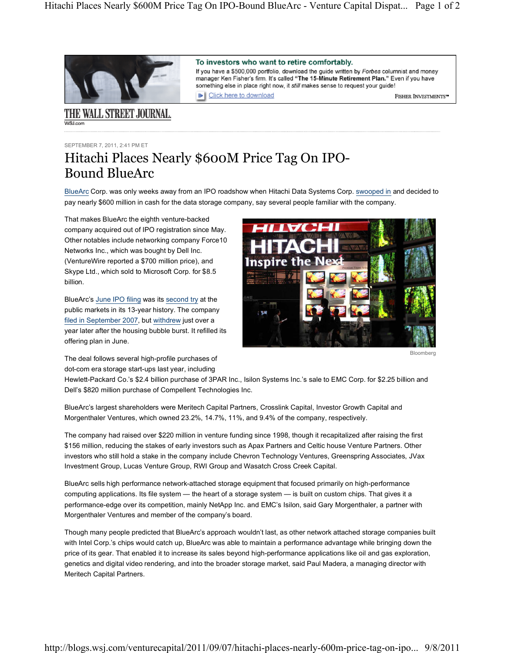Click here to download

To investors who want to retire comfortably.

If you have a \$500,000 portfolio, download the guide written by Forbes columnist and money manager Ken Fisher's firm. It's called "The 15-Minute Retirement Plan." Even if you have

something else in place right now, it still makes sense to request your guide!



## THE WALL STREET JOURNAL. **WSLcom**

SEPTEMBER 7, 2011, 2:41 PM ET

## Hitachi Places Nearly \$600M Price Tag On IPO-Bound BlueArc

BlueArc Corp. was only weeks away from an IPO roadshow when Hitachi Data Systems Corp. swooped in and decided to pay nearly \$600 million in cash for the data storage company, say several people familiar with the company.

That makes BlueArc the eighth venture-backed company acquired out of IPO registration since May. Other notables include networking company Force10 Networks Inc., which was bought by Dell Inc. (VentureWire reported a \$700 million price), and Skype Ltd., which sold to Microsoft Corp. for \$8.5 billion.

BlueArc's June IPO filing was its second try at the public markets in its 13-year history. The company filed in September 2007, but withdrew just over a year later after the housing bubble burst. It refilled its offering plan in June.



FISHER INVESTMENTS"

The deal follows several high-profile purchases of dot-com era storage start-ups last year, including

Hewlett-Packard Co.'s \$2.4 billion purchase of 3PAR Inc., Isilon Systems Inc.'s sale to EMC Corp. for \$2.25 billion and Dell's \$820 million purchase of Compellent Technologies Inc.

BlueArc's largest shareholders were Meritech Capital Partners, Crosslink Capital, Investor Growth Capital and Morgenthaler Ventures, which owned 23.2%, 14.7%, 11%, and 9.4% of the company, respectively.

The company had raised over \$220 million in venture funding since 1998, though it recapitalized after raising the first \$156 million, reducing the stakes of early investors such as Apax Partners and Celtic house Venture Partners. Other investors who still hold a stake in the company include Chevron Technology Ventures, Greenspring Associates, JVax Investment Group, Lucas Venture Group, RWI Group and Wasatch Cross Creek Capital.

BlueArc sells high performance network-attached storage equipment that focused primarily on high-performance computing applications. Its file system — the heart of a storage system — is built on custom chips. That gives it a performance-edge over its competition, mainly NetApp Inc. and EMC's Isilon, said Gary Morgenthaler, a partner with Morgenthaler Ventures and member of the company's board.

Though many people predicted that BlueArc's approach wouldn't last, as other network attached storage companies built with Intel Corp.'s chips would catch up, BlueArc was able to maintain a performance advantage while bringing down the price of its gear. That enabled it to increase its sales beyond high-performance applications like oil and gas exploration, genetics and digital video rendering, and into the broader storage market, said Paul Madera, a managing director with Meritech Capital Partners.